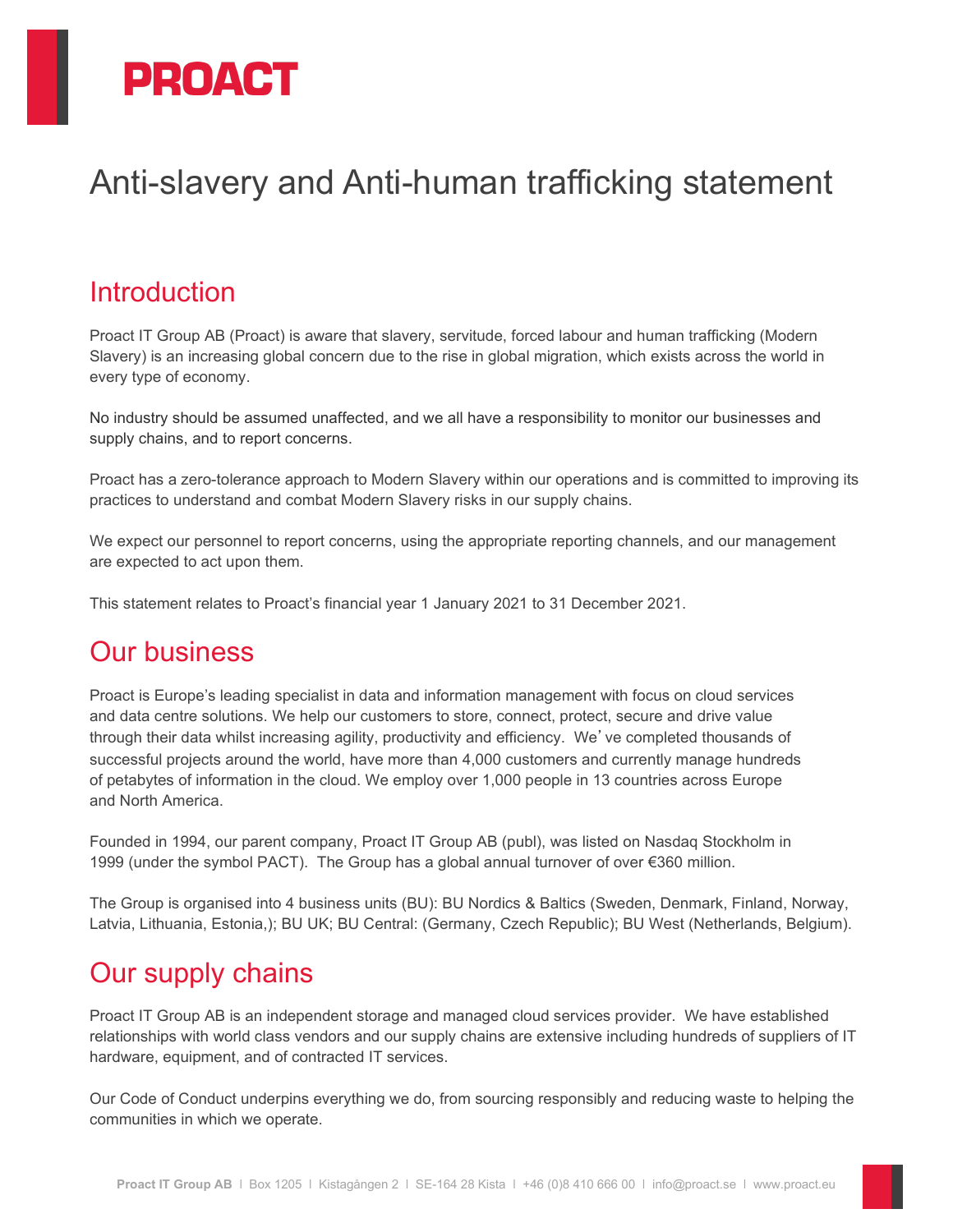

# Anti-slavery and Anti-human trafficking statement

## **Introduction**

Proact IT Group AB (Proact) is aware that slavery, servitude, forced labour and human trafficking (Modern Slavery) is an increasing global concern due to the rise in global migration, which exists across the world in every type of economy.

No industry should be assumed unaffected, and we all have a responsibility to monitor our businesses and supply chains, and to report concerns.

Proact has a zero-tolerance approach to Modern Slavery within our operations and is committed to improving its practices to understand and combat Modern Slavery risks in our supply chains.

We expect our personnel to report concerns, using the appropriate reporting channels, and our management are expected to act upon them.

This statement relates to Proact's financial year 1 January 2021 to 31 December 2021.

### Our business

Proact is Europe's leading specialist in data and information management with focus on cloud services and data centre solutions. We help our customers to store, connect, protect, secure and drive value through their data whilst increasing agility, productivity and efficiency. We've completed thousands of successful projects around the world, have more than 4,000 customers and currently manage hundreds of petabytes of information in the cloud. We employ over 1,000 people in 13 countries across Europe and North America.

Founded in 1994, our parent company, Proact IT Group AB (publ), was listed on Nasdaq Stockholm in 1999 (under the symbol PACT). The Group has a global annual turnover of over €360 million.

The Group is organised into 4 business units (BU): BU Nordics & Baltics (Sweden, Denmark, Finland, Norway, Latvia, Lithuania, Estonia,); BU UK; BU Central: (Germany, Czech Republic); BU West (Netherlands, Belgium).

# Our supply chains

Proact IT Group AB is an independent storage and managed cloud services provider. We have established relationships with world class vendors and our supply chains are extensive including hundreds of suppliers of IT hardware, equipment, and of contracted IT services.

Our Code of Conduct underpins everything we do, from sourcing responsibly and reducing waste to helping the communities in which we operate.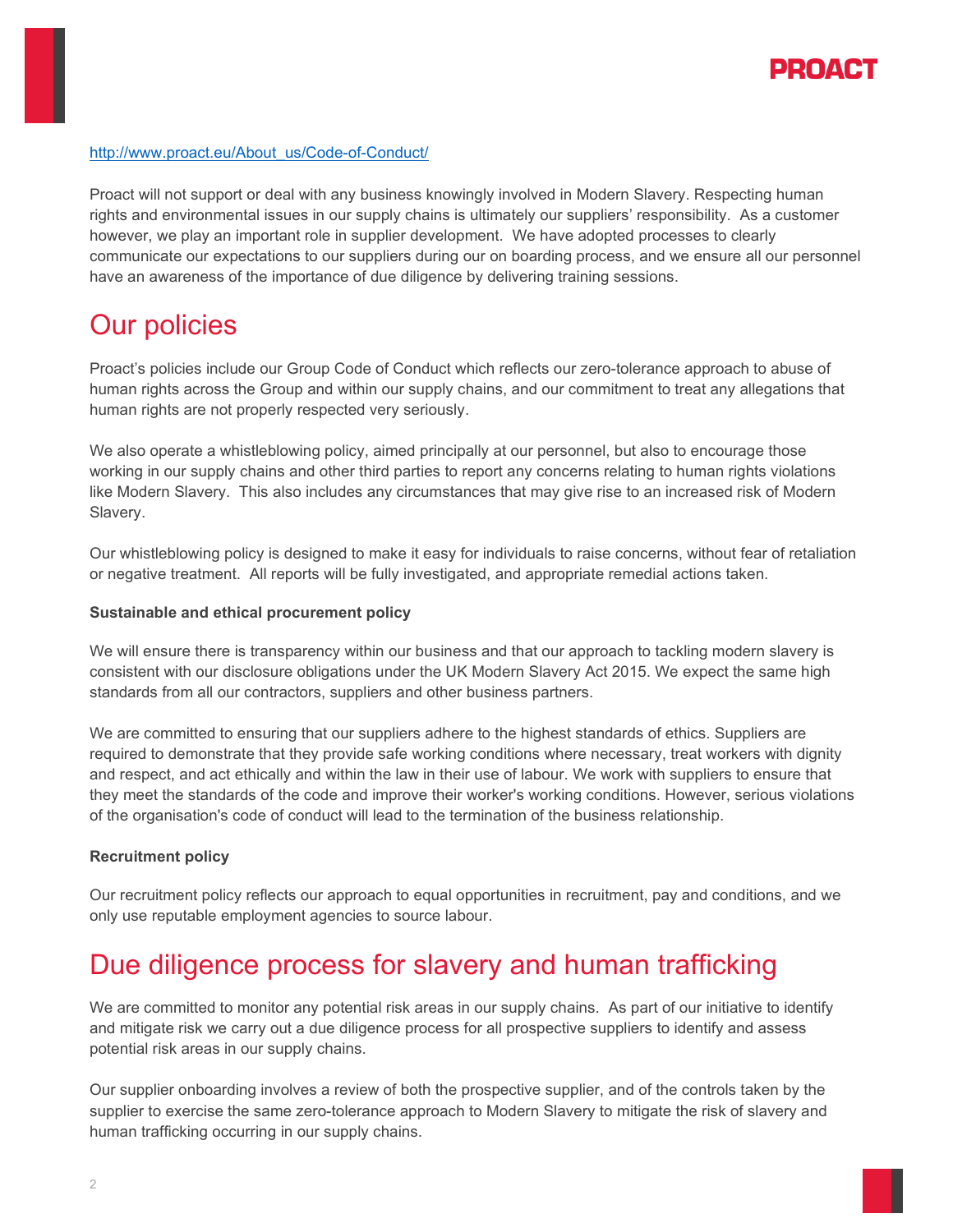

#### [http://www.proact.eu/About\\_us/Code-of-Conduct/](http://www.proact.eu/About_us/Code-of-Conduct/)

Proact will not support or deal with any business knowingly involved in Modern Slavery. Respecting human rights and environmental issues in our supply chains is ultimately our suppliers' responsibility. As a customer however, we play an important role in supplier development. We have adopted processes to clearly communicate our expectations to our suppliers during our on boarding process, and we ensure all our personnel have an awareness of the importance of due diligence by delivering training sessions.

### Our policies

Proact's policies include our Group Code of Conduct which reflects our zero-tolerance approach to abuse of human rights across the Group and within our supply chains, and our commitment to treat any allegations that human rights are not properly respected very seriously.

We also operate a whistleblowing policy, aimed principally at our personnel, but also to encourage those working in our supply chains and other third parties to report any concerns relating to human rights violations like Modern Slavery. This also includes any circumstances that may give rise to an increased risk of Modern Slavery.

Our whistleblowing policy is designed to make it easy for individuals to raise concerns, without fear of retaliation or negative treatment. All reports will be fully investigated, and appropriate remedial actions taken.

#### **Sustainable and ethical procurement policy**

We will ensure there is transparency within our business and that our approach to tackling modern slavery is consistent with our disclosure obligations under the UK Modern Slavery Act 2015. We expect the same high standards from all our contractors, suppliers and other business partners.

We are committed to ensuring that our suppliers adhere to the highest standards of ethics. Suppliers are required to demonstrate that they provide safe working conditions where necessary, treat workers with dignity and respect, and act ethically and within the law in their use of labour. We work with suppliers to ensure that they meet the standards of the code and improve their worker's working conditions. However, serious violations of the organisation's code of conduct will lead to the termination of the business relationship.

#### **Recruitment policy**

Our recruitment policy reflects our approach to equal opportunities in recruitment, pay and conditions, and we only use reputable employment agencies to source labour.

# Due diligence process for slavery and human trafficking

We are committed to monitor any potential risk areas in our supply chains. As part of our initiative to identify and mitigate risk we carry out a due diligence process for all prospective suppliers to identify and assess potential risk areas in our supply chains.

Our supplier onboarding involves a review of both the prospective supplier, and of the controls taken by the supplier to exercise the same zero-tolerance approach to Modern Slavery to mitigate the risk of slavery and human trafficking occurring in our supply chains.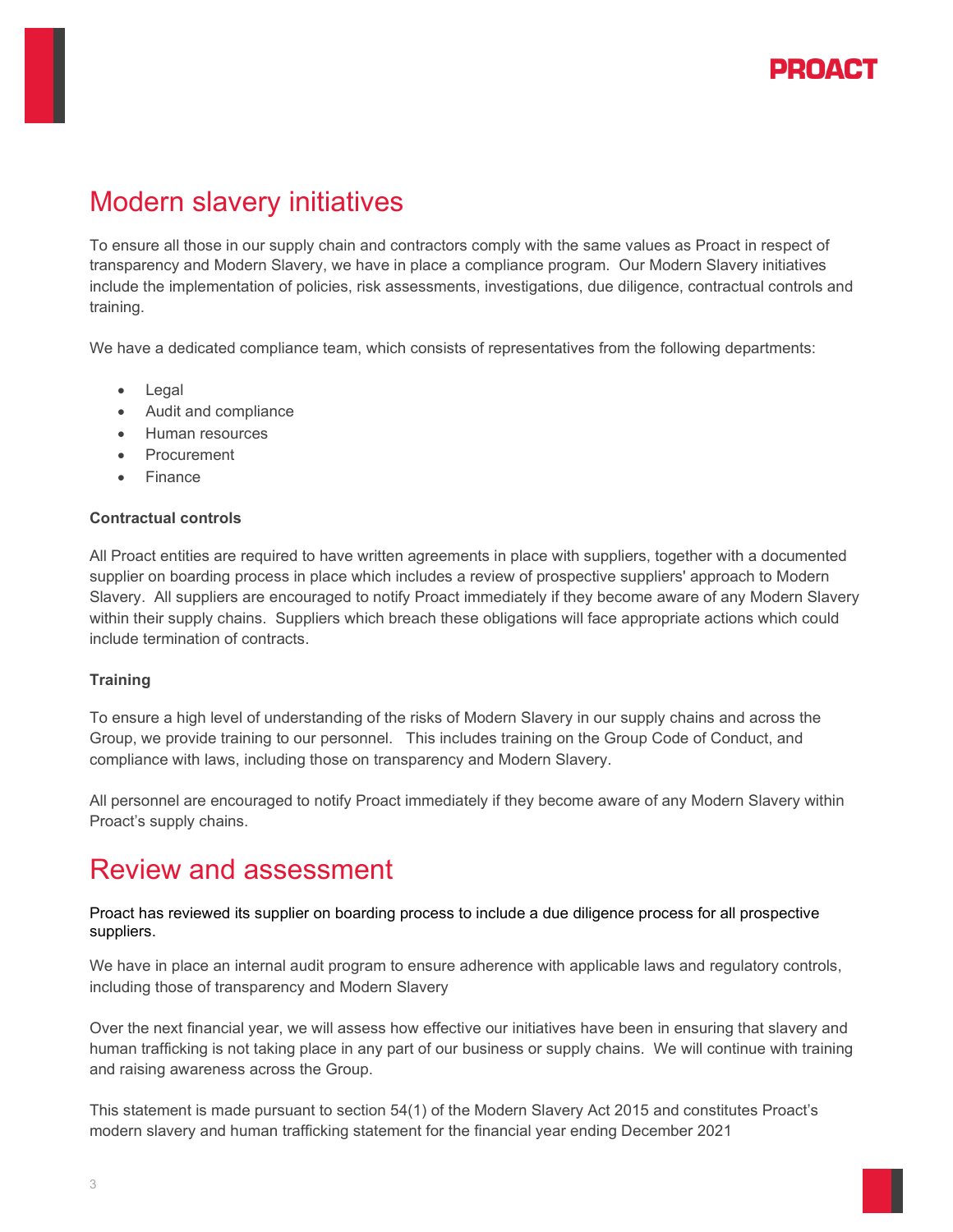

# Modern slavery initiatives

To ensure all those in our supply chain and contractors comply with the same values as Proact in respect of transparency and Modern Slavery, we have in place a compliance program. Our Modern Slavery initiatives include the implementation of policies, risk assessments, investigations, due diligence, contractual controls and training.

We have a dedicated compliance team, which consists of representatives from the following departments:

- Legal
- Audit and compliance
- Human resources
- **Procurement**
- Finance

#### **Contractual controls**

All Proact entities are required to have written agreements in place with suppliers, together with a documented supplier on boarding process in place which includes a review of prospective suppliers' approach to Modern Slavery. All suppliers are encouraged to notify Proact immediately if they become aware of any Modern Slavery within their supply chains. Suppliers which breach these obligations will face appropriate actions which could include termination of contracts.

#### **Training**

To ensure a high level of understanding of the risks of Modern Slavery in our supply chains and across the Group, we provide training to our personnel. This includes training on the Group Code of Conduct, and compliance with laws, including those on transparency and Modern Slavery.

All personnel are encouraged to notify Proact immediately if they become aware of any Modern Slavery within Proact's supply chains.

### Review and assessment

Proact has reviewed its supplier on boarding process to include a due diligence process for all prospective suppliers.

We have in place an internal audit program to ensure adherence with applicable laws and regulatory controls, including those of transparency and Modern Slavery

Over the next financial year, we will assess how effective our initiatives have been in ensuring that slavery and human trafficking is not taking place in any part of our business or supply chains. We will continue with training and raising awareness across the Group.

This statement is made pursuant to section 54(1) of the Modern Slavery Act 2015 and constitutes Proact's modern slavery and human trafficking statement for the financial year ending December 2021